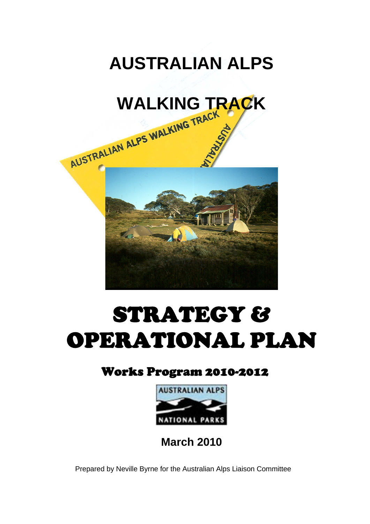



# STRATEGY & OPERATIONAL PLAN

### Works Program 2010-2012



**March 2010** 

Prepared by Neville Byrne for the Australian Alps Liaison Committee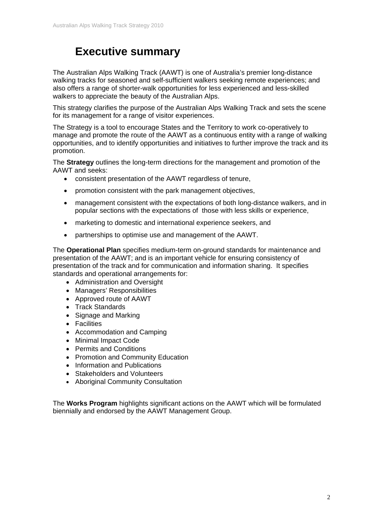### **Executive summary**

The Australian Alps Walking Track (AAWT) is one of Australia's premier long-distance walking tracks for seasoned and self-sufficient walkers seeking remote experiences; and also offers a range of shorter-walk opportunities for less experienced and less-skilled walkers to appreciate the beauty of the Australian Alps.

This strategy clarifies the purpose of the Australian Alps Walking Track and sets the scene for its management for a range of visitor experiences.

The Strategy is a tool to encourage States and the Territory to work co-operatively to manage and promote the route of the AAWT as a continuous entity with a range of walking opportunities, and to identify opportunities and initiatives to further improve the track and its promotion.

The **Strategy** outlines the long-term directions for the management and promotion of the AAWT and seeks:

- consistent presentation of the AAWT regardless of tenure,
- promotion consistent with the park management objectives,
- management consistent with the expectations of both long-distance walkers, and in popular sections with the expectations of those with less skills or experience,
- marketing to domestic and international experience seekers, and
- partnerships to optimise use and management of the AAWT.

The **Operational Plan** specifies medium-term on-ground standards for maintenance and presentation of the AAWT; and is an important vehicle for ensuring consistency of presentation of the track and for communication and information sharing. It specifies standards and operational arrangements for:

- Administration and Oversight
- Managers' Responsibilities
- Approved route of AAWT
- Track Standards
- Signage and Marking
- Facilities
- Accommodation and Camping
- Minimal Impact Code
- Permits and Conditions
- Promotion and Community Education
- Information and Publications
- Stakeholders and Volunteers
- Aboriginal Community Consultation

The **Works Program** highlights significant actions on the AAWT which will be formulated biennially and endorsed by the AAWT Management Group.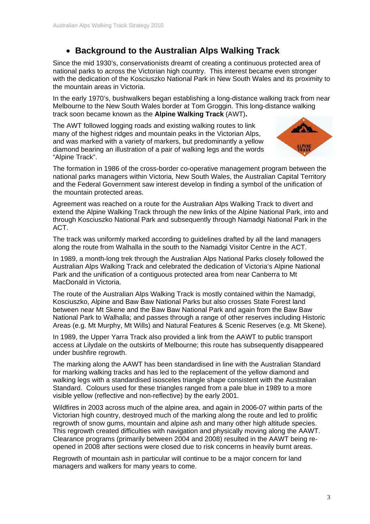#### **Background to the Australian Alps Walking Track**

Since the mid 1930's, conservationists dreamt of creating a continuous protected area of national parks to across the Victorian high country. This interest became even stronger with the dedication of the Kosciuszko National Park in New South Wales and its proximity to the mountain areas in Victoria.

In the early 1970's, bushwalkers began establishing a long-distance walking track from near Melbourne to the New South Wales border at Tom Groggin. This long-distance walking track soon became known as the **Alpine Walking Track** (AWT)**.** 

The AWT followed logging roads and existing walking routes to link many of the highest ridges and mountain peaks in the Victorian Alps. and was marked with a variety of markers, but predominantly a yellow diamond bearing an illustration of a pair of walking legs and the words "Alpine Track".



The formation in 1986 of the cross-border co-operative management program between the national parks managers within Victoria, New South Wales, the Australian Capital Territory and the Federal Government saw interest develop in finding a symbol of the unification of the mountain protected areas.

Agreement was reached on a route for the Australian Alps Walking Track to divert and extend the Alpine Walking Track through the new links of the Alpine National Park, into and through Kosciuszko National Park and subsequently through Namadgi National Park in the ACT.

The track was uniformly marked according to guidelines drafted by all the land managers along the route from Walhalla in the south to the Namadgi Visitor Centre in the ACT.

In 1989, a month-long trek through the Australian Alps National Parks closely followed the Australian Alps Walking Track and celebrated the dedication of Victoria's Alpine National Park and the unification of a contiguous protected area from near Canberra to Mt MacDonald in Victoria.

The route of the Australian Alps Walking Track is mostly contained within the Namadgi, Kosciuszko, Alpine and Baw Baw National Parks but also crosses State Forest land between near Mt Skene and the Baw Baw National Park and again from the Baw Baw National Park to Walhalla; and passes through a range of other reserves including Historic Areas (e.g. Mt Murphy, Mt Wills) and Natural Features & Scenic Reserves (e.g. Mt Skene).

In 1989, the Upper Yarra Track also provided a link from the AAWT to public transport access at Lilydale on the outskirts of Melbourne; this route has subsequently disappeared under bushfire regrowth.

The marking along the AAWT has been standardised in line with the Australian Standard for marking walking tracks and has led to the replacement of the yellow diamond and walking legs with a standardised isosceles triangle shape consistent with the Australian Standard. Colours used for these triangles ranged from a pale blue in 1989 to a more visible yellow (reflective and non-reflective) by the early 2001.

Wildfires in 2003 across much of the alpine area, and again in 2006-07 within parts of the Victorian high country, destroyed much of the marking along the route and led to prolific regrowth of snow gums, mountain and alpine ash and many other high altitude species. This regrowth created difficulties with navigation and physically moving along the AAWT. Clearance programs (primarily between 2004 and 2008) resulted in the AAWT being reopened in 2008 after sections were closed due to risk concerns in heavily burnt areas.

Regrowth of mountain ash in particular will continue to be a major concern for land managers and walkers for many years to come.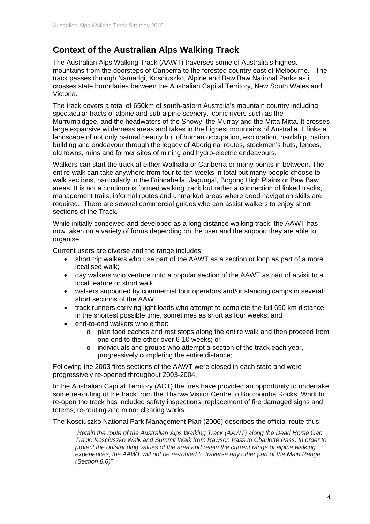#### **Context of the Australian Alps Walking Track**

The Australian Alps Walking Track (AAWT) traverses some of Australia's highest mountains from the doorsteps of Canberra to the forested country east of Melbourne. The track passes through Namadgi, Kosciuszko, Alpine and Baw Baw National Parks as it crosses state boundaries between the Australian Capital Territory, New South Wales and Victoria.

The track covers a total of 650km of south-astern Australia's mountain country including spectacular tracts of alpine and sub-alpine scenery, iconic rivers such as the Murrumbidgee, and the headwaters of the Snowy, the Murray and the Mitta Mitta. It crosses large expansive wilderness areas and takes in the highest mountains of Australia. It links a landscape of not only natural beauty but of human occupation, exploration, hardship, nation building and endeavour through the legacy of Aboriginal routes, stockmen's huts, fences, old towns, ruins and former sites of mining and hydro-electric endeavours.

Walkers can start the track at either Walhalla or Canberra or many points in between. The entire walk can take anywhere from four to ten weeks in total but many people choose to walk sections, particularly in the Brindabella, Jagungal, Bogong High Plains or Baw Baw areas. It is not a continuous formed walking track but rather a connection of linked tracks, management trails, informal routes and unmarked areas where good navigation skills are required. There are several commercial guides who can assist walkers to enjoy short sections of the Track.

While initially conceived and developed as a long distance walking track, the AAWT has now taken on a variety of forms depending on the user and the support they are able to organise.

Current users are diverse and the range includes:

- short trip walkers who use part of the AAWT as a section or loop as part of a more localised walk;
- day walkers who venture onto a popular section of the AAWT as part of a visit to a local feature or short walk
- walkers supported by commercial tour operators and/or standing camps in several short sections of the AAWT
- track runners carrying light loads who attempt to complete the full 650 km distance in the shortest possible time, sometimes as short as four weeks; and
- end-to-end walkers who either:
	- o plan food caches and rest stops along the entire walk and then proceed from one end to the other over 6-10 weeks; or
	- o individuals and groups who attempt a section of the track each year, progressively completing the entire distance;

Following the 2003 fires sections of the AAWT were closed in each state and were progressively re-opened throughout 2003-2004.

In the Australian Capital Territory (ACT) the fires have provided an opportunity to undertake some re-routing of the track from the Tharwa Visitor Centre to Booroomba Rocks. Work to re-open the track has included safety inspections, replacement of fire damaged signs and totems, re-routing and minor clearing works.

The Kosciuszko National Park Management Plan (2006) describes the official route thus:

*"Retain the route of the Australian Alps Walking Track (AAWT) along the Dead Horse Gap Track, Kosciuszko Walk and Summit Walk from Rawson Pass to Charlotte Pass. In order to protect the outstanding values of the area and retain the current range of alpine walking experiences, the AAWT will not be re-routed to traverse any other part of the Main Range (Section 8.6)".*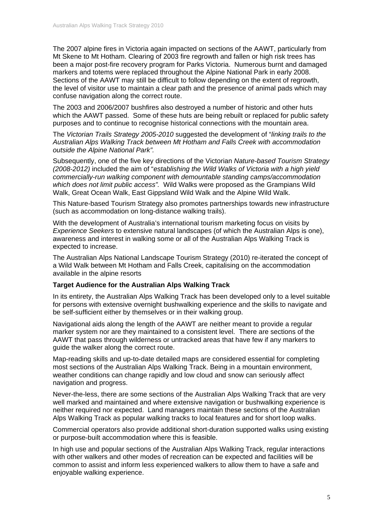The 2007 alpine fires in Victoria again impacted on sections of the AAWT, particularly from Mt Skene to Mt Hotham. Clearing of 2003 fire regrowth and fallen or high risk trees has been a major post-fire recovery program for Parks Victoria. Numerous burnt and damaged markers and totems were replaced throughout the Alpine National Park in early 2008. Sections of the AAWT may still be difficult to follow depending on the extent of regrowth, the level of visitor use to maintain a clear path and the presence of animal pads which may confuse navigation along the correct route.

The 2003 and 2006/2007 bushfires also destroyed a number of historic and other huts which the AAWT passed. Some of these huts are being rebuilt or replaced for public safety purposes and to continue to recognise historical connections with the mountain area.

The *Victorian Trails Strategy 2005-2010* suggested the development of "*linking trails to the Australian Alps Walking Track between Mt Hotham and Falls Creek with accommodation outside the Alpine National Park".* 

Subsequently, one of the five key directions of the Victorian *Nature-based Tourism Strategy (2008-2012)* included the aim of "*establishing the Wild Walks of Victoria with a high yield commercially-run walking component with demountable standing camps/accommodation which does not limit public access".* Wild Walks were proposed as the Grampians Wild Walk, Great Ocean Walk, East Gippsland Wild Walk and the Alpine Wild Walk.

This Nature-based Tourism Strategy also promotes partnerships towards new infrastructure (such as accommodation on long-distance walking trails).

With the development of Australia's international tourism marketing focus on visits by *Experience Seekers* to extensive natural landscapes (of which the Australian Alps is one), awareness and interest in walking some or all of the Australian Alps Walking Track is expected to increase.

The Australian Alps National Landscape Tourism Strategy (2010) re-iterated the concept of a Wild Walk between Mt Hotham and Falls Creek, capitalising on the accommodation available in the alpine resorts

#### **Target Audience for the Australian Alps Walking Track**

In its entirety, the Australian Alps Walking Track has been developed only to a level suitable for persons with extensive overnight bushwalking experience and the skills to navigate and be self-sufficient either by themselves or in their walking group.

Navigational aids along the length of the AAWT are neither meant to provide a regular marker system nor are they maintained to a consistent level. There are sections of the AAWT that pass through wilderness or untracked areas that have few if any markers to guide the walker along the correct route.

Map-reading skills and up-to-date detailed maps are considered essential for completing most sections of the Australian Alps Walking Track. Being in a mountain environment, weather conditions can change rapidly and low cloud and snow can seriously affect navigation and progress.

Never-the-less, there are some sections of the Australian Alps Walking Track that are very well marked and maintained and where extensive navigation or bushwalking experience is neither required nor expected. Land managers maintain these sections of the Australian Alps Walking Track as popular walking tracks to local features and for short loop walks.

Commercial operators also provide additional short-duration supported walks using existing or purpose-built accommodation where this is feasible.

In high use and popular sections of the Australian Alps Walking Track, regular interactions with other walkers and other modes of recreation can be expected and facilities will be common to assist and inform less experienced walkers to allow them to have a safe and enjoyable walking experience.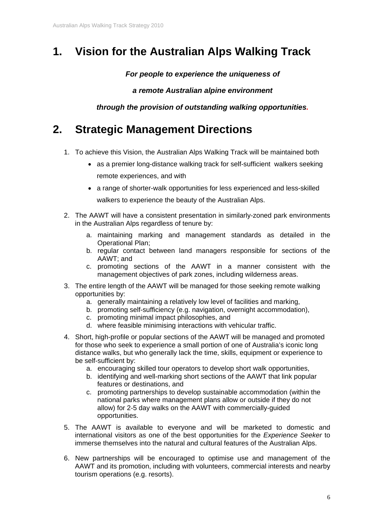### **1. Vision for the Australian Alps Walking Track**

*For people to experience the uniqueness of* 

*a remote Australian alpine environment* 

*through the provision of outstanding walking opportunities.* 

### **2. Strategic Management Directions**

- 1. To achieve this Vision, the Australian Alps Walking Track will be maintained both
	- as a premier long-distance walking track for self-sufficient walkers seeking remote experiences, and with
	- a range of shorter-walk opportunities for less experienced and less-skilled walkers to experience the beauty of the Australian Alps.
- 2. The AAWT will have a consistent presentation in similarly-zoned park environments in the Australian Alps regardless of tenure by:
	- a. maintaining marking and management standards as detailed in the Operational Plan;
	- b. regular contact between land managers responsible for sections of the AAWT; and
	- c. promoting sections of the AAWT in a manner consistent with the management objectives of park zones, including wilderness areas.
- 3. The entire length of the AAWT will be managed for those seeking remote walking opportunities by:
	- a. generally maintaining a relatively low level of facilities and marking,
	- b. promoting self-sufficiency (e.g. navigation, overnight accommodation),
	- c. promoting minimal impact philosophies, and
	- d. where feasible minimising interactions with vehicular traffic.
- 4. Short, high-profile or popular sections of the AAWT will be managed and promoted for those who seek to experience a small portion of one of Australia's iconic long distance walks, but who generally lack the time, skills, equipment or experience to be self-sufficient by:
	- a. encouraging skilled tour operators to develop short walk opportunities,
	- b. identifying and well-marking short sections of the AAWT that link popular features or destinations, and
	- c. promoting partnerships to develop sustainable accommodation (within the national parks where management plans allow or outside if they do not allow) for 2-5 day walks on the AAWT with commercially-guided opportunities.
- 5. The AAWT is available to everyone and will be marketed to domestic and international visitors as one of the best opportunities for the *Experience Seeker* to immerse themselves into the natural and cultural features of the Australian Alps.
- 6. New partnerships will be encouraged to optimise use and management of the AAWT and its promotion, including with volunteers, commercial interests and nearby tourism operations (e.g. resorts).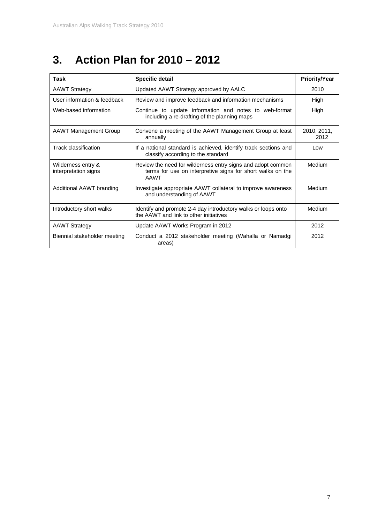## **3. Action Plan for 2010 – 2012**

| Task                                                                                                | <b>Specific detail</b>                                                                                                                   | <b>Priority/Year</b> |  |  |
|-----------------------------------------------------------------------------------------------------|------------------------------------------------------------------------------------------------------------------------------------------|----------------------|--|--|
| <b>AAWT Strategy</b>                                                                                | Updated AAWT Strategy approved by AALC                                                                                                   |                      |  |  |
| User information & feedback                                                                         | Review and improve feedback and information mechanisms                                                                                   |                      |  |  |
| Web-based information                                                                               | Continue to update information and notes to web-format<br>including a re-drafting of the planning maps                                   | High                 |  |  |
| <b>AAWT Management Group</b><br>Convene a meeting of the AAWT Management Group at least<br>annually |                                                                                                                                          | 2010, 2011,<br>2012  |  |  |
| Track classification                                                                                | If a national standard is achieved, identify track sections and<br>classify according to the standard                                    | Low                  |  |  |
| Wilderness entry &<br>interpretation signs                                                          | Review the need for wilderness entry signs and adopt common<br>terms for use on interpretive signs for short walks on the<br><b>AAWT</b> |                      |  |  |
| Additional AAWT branding                                                                            | Investigate appropriate AAWT collateral to improve awareness<br>and understanding of AAWT                                                | Medium               |  |  |
| Introductory short walks                                                                            | Identify and promote 2-4 day introductory walks or loops onto<br>the AAWT and link to other initiatives                                  | Medium               |  |  |
| <b>AAWT Strategy</b>                                                                                | Update AAWT Works Program in 2012                                                                                                        | 2012                 |  |  |
| Conduct a 2012 stakeholder meeting (Wahalla or Namadgi<br>Biennial stakeholder meeting<br>areas)    |                                                                                                                                          | 2012                 |  |  |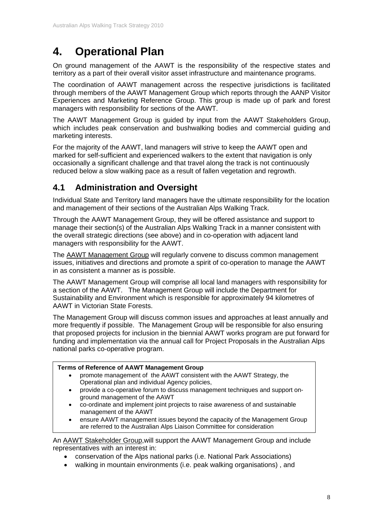### **4. Operational Plan**

On ground management of the AAWT is the responsibility of the respective states and territory as a part of their overall visitor asset infrastructure and maintenance programs.

The coordination of AAWT management across the respective jurisdictions is facilitated through members of the AAWT Management Group which reports through the AANP Visitor Experiences and Marketing Reference Group. This group is made up of park and forest managers with responsibility for sections of the AAWT.

The AAWT Management Group is guided by input from the AAWT Stakeholders Group, which includes peak conservation and bushwalking bodies and commercial guiding and marketing interests.

For the majority of the AAWT, land managers will strive to keep the AAWT open and marked for self-sufficient and experienced walkers to the extent that navigation is only occasionally a significant challenge and that travel along the track is not continuously reduced below a slow walking pace as a result of fallen vegetation and regrowth.

#### **4.1 Administration and Oversight**

Individual State and Territory land managers have the ultimate responsibility for the location and management of their sections of the Australian Alps Walking Track.

Through the AAWT Management Group, they will be offered assistance and support to manage their section(s) of the Australian Alps Walking Track in a manner consistent with the overall strategic directions (see above) and in co-operation with adjacent land managers with responsibility for the AAWT.

The **AAWT Management Group** will regularly convene to discuss common management issues, initiatives and directions and promote a spirit of co-operation to manage the AAWT in as consistent a manner as is possible.

The AAWT Management Group will comprise all local land managers with responsibility for a section of the AAWT. The Management Group will include the Department for Sustainability and Environment which is responsible for approximately 94 kilometres of AAWT in Victorian State Forests.

The Management Group will discuss common issues and approaches at least annually and more frequently if possible. The Management Group will be responsible for also ensuring that proposed projects for inclusion in the biennial AAWT works program are put forward for funding and implementation via the annual call for Project Proposals in the Australian Alps national parks co-operative program.

#### **Terms of Reference of AAWT Management Group**

- promote management of the AAWT consistent with the AAWT Strategy, the Operational plan and individual Agency policies,
- provide a co-operative forum to discuss management techniques and support onground management of the AAWT
- co-ordinate and implement joint projects to raise awareness of and sustainable management of the AAWT
- ensure AAWT management issues beyond the capacity of the Management Group are referred to the Australian Alps Liaison Committee for consideration

An AAWT Stakeholder Group,will support the AAWT Management Group and include representatives with an interest in:

- conservation of the Alps national parks (i.e. National Park Associations)
- walking in mountain environments (i.e. peak walking organisations) , and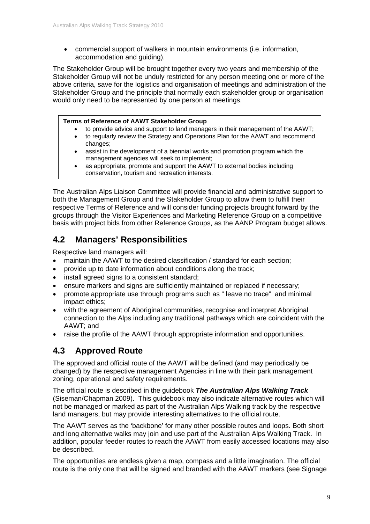commercial support of walkers in mountain environments (i.e. information, accommodation and guiding).

The Stakeholder Group will be brought together every two years and membership of the Stakeholder Group will not be unduly restricted for any person meeting one or more of the above criteria, save for the logistics and organisation of meetings and administration of the Stakeholder Group and the principle that normally each stakeholder group or organisation would only need to be represented by one person at meetings.

#### **Terms of Reference of AAWT Stakeholder Group**

- to provide advice and support to land managers in their management of the AAWT;
- to regularly review the Strategy and Operations Plan for the AAWT and recommend changes;
- assist in the development of a biennial works and promotion program which the management agencies will seek to implement;
- as appropriate, promote and support the AAWT to external bodies including conservation, tourism and recreation interests.

The Australian Alps Liaison Committee will provide financial and administrative support to both the Management Group and the Stakeholder Group to allow them to fulfill their respective Terms of Reference and will consider funding projects brought forward by the groups through the Visitor Experiences and Marketing Reference Group on a competitive basis with project bids from other Reference Groups, as the AANP Program budget allows.

#### **4.2 Managers' Responsibilities**

Respective land managers will:

- maintain the AAWT to the desired classification / standard for each section;
- provide up to date information about conditions along the track;
- install agreed signs to a consistent standard:
- ensure markers and signs are sufficiently maintained or replaced if necessary;
- promote appropriate use through programs such as " leave no trace" and minimal impact ethics;
- with the agreement of Aboriginal communities, recognise and interpret Aboriginal connection to the Alps including any traditional pathways which are coincident with the AAWT; and
- raise the profile of the AAWT through appropriate information and opportunities.

#### **4.3 Approved Route**

The approved and official route of the AAWT will be defined (and may periodically be changed) by the respective management Agencies in line with their park management zoning, operational and safety requirements.

The official route is described in the guidebook *The Australian Alps Walking Track* (Siseman/Chapman 2009). This guidebook may also indicate alternative routes which will not be managed or marked as part of the Australian Alps Walking track by the respective land managers, but may provide interesting alternatives to the official route.

The AAWT serves as the 'backbone' for many other possible routes and loops. Both short and long alternative walks may join and use part of the Australian Alps Walking Track. In addition, popular feeder routes to reach the AAWT from easily accessed locations may also be described.

The opportunities are endless given a map, compass and a little imagination. The official route is the only one that will be signed and branded with the AAWT markers (see Signage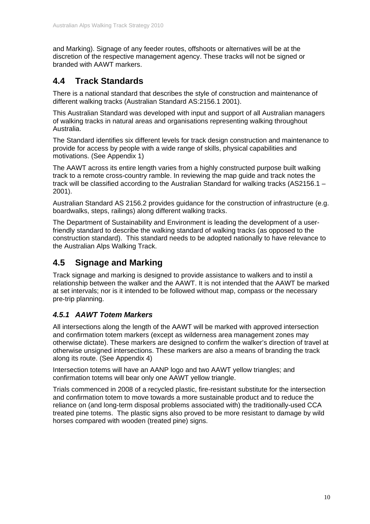and Marking). Signage of any feeder routes, offshoots or alternatives will be at the discretion of the respective management agency. These tracks will not be signed or branded with AAWT markers.

#### **4.4 Track Standards**

There is a national standard that describes the style of construction and maintenance of different walking tracks (Australian Standard AS:2156.1 2001).

This Australian Standard was developed with input and support of all Australian managers of walking tracks in natural areas and organisations representing walking throughout Australia.

The Standard identifies six different levels for track design construction and maintenance to provide for access by people with a wide range of skills, physical capabilities and motivations. (See Appendix 1)

The AAWT across its entire length varies from a highly constructed purpose built walking track to a remote cross-country ramble. In reviewing the map guide and track notes the track will be classified according to the Australian Standard for walking tracks (AS2156.1 – 2001).

Australian Standard AS 2156.2 provides guidance for the construction of infrastructure (e.g. boardwalks, steps, railings) along different walking tracks.

The Department of Sustainability and Environment is leading the development of a userfriendly standard to describe the walking standard of walking tracks (as opposed to the construction standard). This standard needs to be adopted nationally to have relevance to the Australian Alps Walking Track.

#### **4.5 Signage and Marking**

Track signage and marking is designed to provide assistance to walkers and to instil a relationship between the walker and the AAWT. It is not intended that the AAWT be marked at set intervals; nor is it intended to be followed without map, compass or the necessary pre-trip planning.

#### *4.5.1 AAWT Totem Markers*

All intersections along the length of the AAWT will be marked with approved intersection and confirmation totem markers (except as wilderness area management zones may otherwise dictate). These markers are designed to confirm the walker's direction of travel at otherwise unsigned intersections. These markers are also a means of branding the track along its route. (See Appendix 4)

Intersection totems will have an AANP logo and two AAWT yellow triangles; and confirmation totems will bear only one AAWT yellow triangle.

Trials commenced in 2008 of a recycled plastic, fire-resistant substitute for the intersection and confirmation totem to move towards a more sustainable product and to reduce the reliance on (and long-term disposal problems associated with) the traditionally-used CCA treated pine totems. The plastic signs also proved to be more resistant to damage by wild horses compared with wooden (treated pine) signs.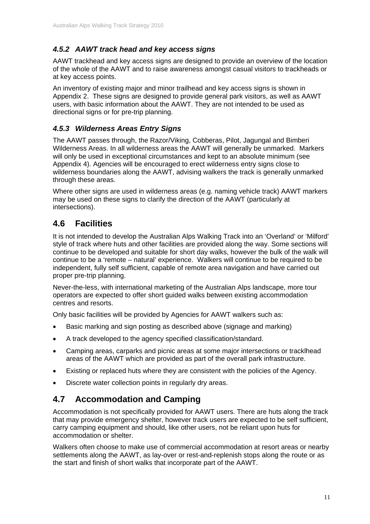#### *4.5.2 AAWT track head and key access signs*

AAWT trackhead and key access signs are designed to provide an overview of the location of the whole of the AAWT and to raise awareness amongst casual visitors to trackheads or at key access points.

An inventory of existing major and minor trailhead and key access signs is shown in Appendix 2. These signs are designed to provide general park visitors, as well as AAWT users, with basic information about the AAWT. They are not intended to be used as directional signs or for pre-trip planning.

#### *4.5.3 Wilderness Areas Entry Signs*

The AAWT passes through, the Razor/Viking, Cobberas, Pilot, Jagungal and Bimberi Wilderness Areas. In all wilderness areas the AAWT will generally be unmarked. Markers will only be used in exceptional circumstances and kept to an absolute minimum (see Appendix 4). Agencies will be encouraged to erect wilderness entry signs close to wilderness boundaries along the AAWT, advising walkers the track is generally unmarked through these areas.

Where other signs are used in wilderness areas (e.g. naming vehicle track) AAWT markers may be used on these signs to clarify the direction of the AAWT (particularly at intersections).

#### **4.6 Facilities**

It is not intended to develop the Australian Alps Walking Track into an 'Overland' or 'Milford' style of track where huts and other facilities are provided along the way. Some sections will continue to be developed and suitable for short day walks, however the bulk of the walk will continue to be a 'remote – natural' experience. Walkers will continue to be required to be independent, fully self sufficient, capable of remote area navigation and have carried out proper pre-trip planning.

Never-the-less, with international marketing of the Australian Alps landscape, more tour operators are expected to offer short guided walks between existing accommodation centres and resorts.

Only basic facilities will be provided by Agencies for AAWT walkers such as:

- Basic marking and sign posting as described above (signage and marking)
- A track developed to the agency specified classification/standard.
- Camping areas, carparks and picnic areas at some major intersections or tracklhead areas of the AAWT which are provided as part of the overall park infrastructure.
- Existing or replaced huts where they are consistent with the policies of the Agency.
- Discrete water collection points in regularly dry areas.

#### **4.7 Accommodation and Camping**

Accommodation is not specifically provided for AAWT users. There are huts along the track that may provide emergency shelter, however track users are expected to be self sufficient, carry camping equipment and should, like other users, not be reliant upon huts for accommodation or shelter.

Walkers often choose to make use of commercial accommodation at resort areas or nearby settlements along the AAWT, as lay-over or rest-and-replenish stops along the route or as the start and finish of short walks that incorporate part of the AAWT.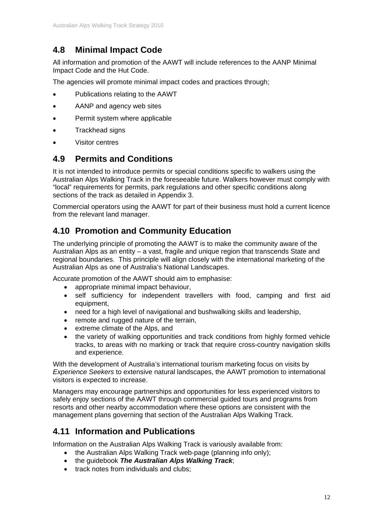### **4.8 Minimal Impact Code**

All information and promotion of the AAWT will include references to the AANP Minimal Impact Code and the Hut Code.

The agencies will promote minimal impact codes and practices through;

- Publications relating to the AAWT
- AANP and agency web sites
- Permit system where applicable
- Trackhead signs
- Visitor centres

#### **4.9 Permits and Conditions**

It is not intended to introduce permits or special conditions specific to walkers using the Australian Alps Walking Track in the foreseeable future. Walkers however must comply with "local" requirements for permits, park regulations and other specific conditions along sections of the track as detailed in Appendix 3.

Commercial operators using the AAWT for part of their business must hold a current licence from the relevant land manager.

#### **4.10 Promotion and Community Education**

The underlying principle of promoting the AAWT is to make the community aware of the Australian Alps as an entity – a vast, fragile and unique region that transcends State and regional boundaries. This principle will align closely with the international marketing of the Australian Alps as one of Australia's National Landscapes.

Accurate promotion of the AAWT should aim to emphasise:

- appropriate minimal impact behaviour,
- self sufficiency for independent travellers with food, camping and first aid equipment,
- need for a high level of navigational and bushwalking skills and leadership,
- remote and rugged nature of the terrain,
- extreme climate of the Alps, and
- the variety of walking opportunities and track conditions from highly formed vehicle tracks, to areas with no marking or track that require cross-country navigation skills and experience.

With the development of Australia's international tourism marketing focus on visits by *Experience Seekers* to extensive natural landscapes, the AAWT promotion to international visitors is expected to increase.

Managers may encourage partnerships and opportunities for less experienced visitors to safely enjoy sections of the AAWT through commercial guided tours and programs from resorts and other nearby accommodation where these options are consistent with the management plans governing that section of the Australian Alps Walking Track.

#### **4.11 Information and Publications**

Information on the Australian Alps Walking Track is variously available from:

- the Australian Alps Walking Track web-page (planning info only);
- the guidebook *The Australian Alps Walking Track*;
- track notes from individuals and clubs: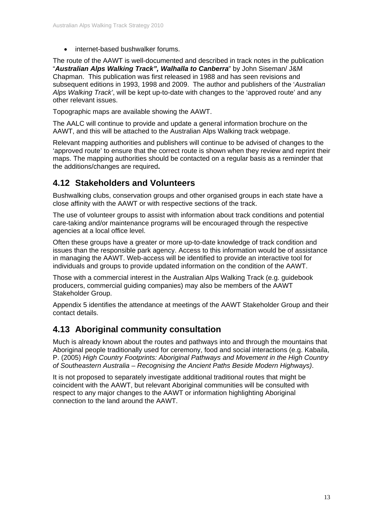internet-based bushwalker forums.

The route of the AAWT is well-documented and described in track notes in the publication "*Australian Alps Walking Track", Walhalla to Canberra*" by John Siseman/ J&M Chapman. This publication was first released in 1988 and has seen revisions and subsequent editions in 1993, 1998 and 2009. The author and publishers of the '*Australian Alps Walking Track'*, will be kept up-to-date with changes to the 'approved route' and any other relevant issues.

Topographic maps are available showing the AAWT.

The AALC will continue to provide and update a general information brochure on the AAWT, and this will be attached to the Australian Alps Walking track webpage.

Relevant mapping authorities and publishers will continue to be advised of changes to the 'approved route' to ensure that the correct route is shown when they review and reprint their maps. The mapping authorities should be contacted on a regular basis as a reminder that the additions/changes are required**.** 

#### **4.12 Stakeholders and Volunteers**

Bushwalking clubs, conservation groups and other organised groups in each state have a close affinity with the AAWT or with respective sections of the track.

The use of volunteer groups to assist with information about track conditions and potential care-taking and/or maintenance programs will be encouraged through the respective agencies at a local office level.

Often these groups have a greater or more up-to-date knowledge of track condition and issues than the responsible park agency. Access to this information would be of assistance in managing the AAWT. Web-access will be identified to provide an interactive tool for individuals and groups to provide updated information on the condition of the AAWT.

Those with a commercial interest in the Australian Alps Walking Track (e.g. guidebook producers, commercial guiding companies) may also be members of the AAWT Stakeholder Group.

Appendix 5 identifies the attendance at meetings of the AAWT Stakeholder Group and their contact details.

#### **4.13 Aboriginal community consultation**

Much is already known about the routes and pathways into and through the mountains that Aboriginal people traditionally used for ceremony, food and social interactions (e.g. Kabaila, P. (2005) *High Country Footprints: Aboriginal Pathways and Movement in the High Country of Southeastern Australia – Recognising the Ancient Paths Beside Modern Highways)*.

It is not proposed to separately investigate additional traditional routes that might be coincident with the AAWT, but relevant Aboriginal communities will be consulted with respect to any major changes to the AAWT or information highlighting Aboriginal connection to the land around the AAWT.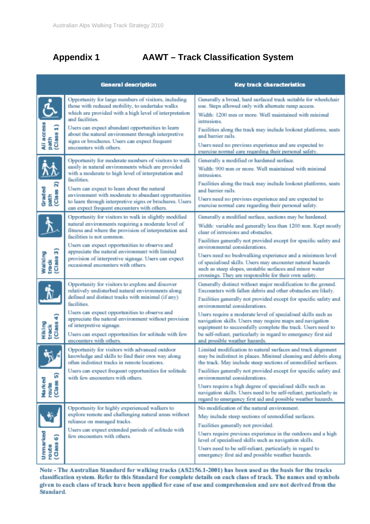### **Appendix 1 AAWT – Track Classification System**

|                                             | <b>General description</b>                                                                                                                                                                                                                                                                                                                                                                         | <b>Key track characteristics</b>                                                                                                                                                                                                                                                                                                                                                                                                                                                                                                 |  |  |  |
|---------------------------------------------|----------------------------------------------------------------------------------------------------------------------------------------------------------------------------------------------------------------------------------------------------------------------------------------------------------------------------------------------------------------------------------------------------|----------------------------------------------------------------------------------------------------------------------------------------------------------------------------------------------------------------------------------------------------------------------------------------------------------------------------------------------------------------------------------------------------------------------------------------------------------------------------------------------------------------------------------|--|--|--|
| $\frac{\text{All access}}{\text{path}}$     | Opportunity for large numbers of visitors, including<br>those with reduced mobility, to undertake walks<br>which are provided with a high level of interpretation<br>and facilities.<br>Users can expect abundant opportunities to learn<br>about the natural environment through interpretive<br>signs or brochures. Users can expect frequent<br>encounters with others.                         | Generally a broad, hard surfaced track suitable for wheelchair<br>use. Steps allowed only with alternate ramp access.<br>Width: 1200 mm or more. Well maintained with minimal<br>intrusions.<br>Facilities along the track may include lookout platforms, seats<br>and barrier rails.<br>Users need no previous experience and are expected to<br>exercise normal care regarding their personal safety.                                                                                                                          |  |  |  |
| <u>Ϋ́β</u> .<br>Graded<br>path<br>(Class 2) | Opportunity for moderate numbers of visitors to walk<br>easily in natural environments which are provided<br>with a moderate to high level of interpretation and<br>facilities.<br>Users can expect to learn about the natural<br>environment with moderate to abundant opportunities<br>to learn through interpretive signs or brochures. Users<br>can expect frequent encounters with others.    | Generally a modified or hardened surface.<br>Width: 900 mm or more. Well maintained with minimal<br>intrusions.<br>Facilities along the track may include lookout platforms, seats<br>and barrier rails.<br>Users need no previous experience and are expected to<br>exercise normal care regarding their personal safety.                                                                                                                                                                                                       |  |  |  |
| Walking<br>track<br>(Class 3)               | Opportunity for visitors to walk in slightly modified<br>natural environments requiring a moderate level of<br>fitness and where the provision of interpretation and<br>facilities is not common.<br>Users can expect opportunities to observe and<br>appreciate the natural environment with limited<br>provision of interpretive signage. Users can expect<br>occasional encounters with others. | Generally a modified surface, sections may be hardened.<br>Width: variable and generally less than 1200 mm. Kept mostly<br>clear of intrusions and obstacles.<br>Facilities generally not provided except for specific safety and<br>environmental considerations.<br>Users need no bushwalking experience and a minimum level<br>of specialised skills. Users may encounter natural hazards<br>such as steep slopes, unstable surfaces and minor water<br>crossings. They are responsible for their own safety.                 |  |  |  |
| Hiking<br>track<br>(Class 4)                | Opportunity for visitors to explore and discover<br>relatively undisturbed natural environments along<br>defined and distinct tracks with minimal (if any)<br>facilities.<br>Users can expect opportunities to observe and<br>appreciate the natural environment without provision<br>of interpretive signage.<br>Users can expect opportunities for solitude with few<br>encounters with others.  | Generally distinct without major modification to the ground.<br>Encounters with fallen debris and other obstacles are likely.<br>Facilities generally not provided except for specific safety and<br>environmental considerations.<br>Users require a moderate level of specialised skills such as<br>navigation skills. Users may require maps and navigation<br>equipment to successfully complete the track. Users need to<br>be self-reliant, particularly in regard to emergency first aid<br>and possible weather hazards. |  |  |  |
| ົດ<br>Marked<br>(Class<br>route             | Opportunity for visitors with advanced outdoor<br>knowledge and skills to find their own way along<br>often indistinct tracks in remote locations.<br>Users can expect frequent opportunities for solitude<br>with few encounters with others.                                                                                                                                                     | Limited modification to natural surfaces and track alignment<br>may be indistinct in places. Minimal cleaning and debris along<br>the track. May include steep sections of unmodified surfaces.<br>Facilities generally not provided except for specific safety and<br>environmental considerations.<br>Users require a high degree of specialised skills such as<br>navigation skills. Users need to be self-reliant, particularly in<br>regard to emergency first aid and possible weather hazards.                            |  |  |  |
| Ummarked<br>ଚ<br>(Class)<br>route           | Opportunity for highly experienced walkers to<br>explore remote and challenging natural areas without<br>reliance on managed tracks.<br>Users can expect extended periods of solitude with<br>few encounters with others.                                                                                                                                                                          | No modification of the natural environment.<br>May include steep sections of unmodified surfaces.<br>Facilities generally not provided.<br>Users require previous experience in the outdoors and a high-<br>level of specialised skills such as navigation skills.<br>Users need to be self-reliant, particularly in regard to<br>emergency first aid and possible weather hazards.                                                                                                                                              |  |  |  |

Note - The Australian Standard for walking tracks (AS2156.1-2001) has been used as the basis for the tracks classification system. Refer to this Standard for complete details on each class of track. The names and symbols given to each class of track have been applied for ease of use and comprehension and are not derived from the Standard.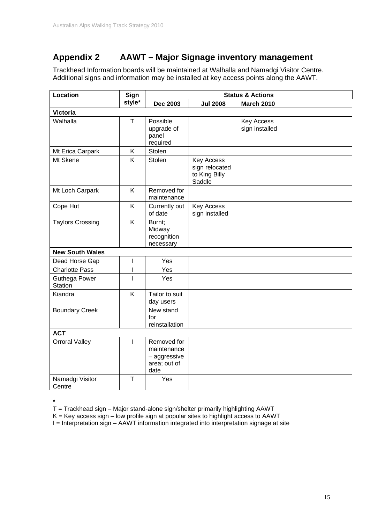#### **Appendix 2 AAWT – Major Signage inventory management**

Trackhead Information boards will be maintained at Walhalla and Namadgi Visitor Centre. Additional signs and information may be installed at key access points along the AAWT.

| Location                               | Sign         | <b>Status &amp; Actions</b>                                        |                                                                |                              |  |
|----------------------------------------|--------------|--------------------------------------------------------------------|----------------------------------------------------------------|------------------------------|--|
|                                        | style*       | <b>Dec 2003</b>                                                    | <b>Jul 2008</b>                                                | <b>March 2010</b>            |  |
| <b>Victoria</b>                        |              |                                                                    |                                                                |                              |  |
| Walhalla                               | $\mathsf T$  | Possible<br>upgrade of<br>panel<br>required                        |                                                                | Key Access<br>sign installed |  |
| Mt Erica Carpark                       | Κ            | Stolen                                                             |                                                                |                              |  |
| Mt Skene                               | K            | Stolen                                                             | <b>Key Access</b><br>sign relocated<br>to King Billy<br>Saddle |                              |  |
| Mt Loch Carpark                        | K            | Removed for<br>maintenance                                         |                                                                |                              |  |
| Cope Hut                               | K            | Currently out<br>of date                                           | <b>Key Access</b><br>sign installed                            |                              |  |
| <b>Taylors Crossing</b>                | K            | Burnt;<br>Midway<br>recognition<br>necessary                       |                                                                |                              |  |
| <b>New South Wales</b>                 |              |                                                                    |                                                                |                              |  |
| Dead Horse Gap                         | I            | Yes                                                                |                                                                |                              |  |
| <b>Charlotte Pass</b>                  | I            | Yes                                                                |                                                                |                              |  |
| <b>Guthega Power</b><br><b>Station</b> | $\mathbf{I}$ | Yes                                                                |                                                                |                              |  |
| Kiandra                                | K            | Tailor to suit<br>day users                                        |                                                                |                              |  |
| <b>Boundary Creek</b>                  |              | New stand<br>for<br>reinstallation                                 |                                                                |                              |  |
| <b>ACT</b>                             |              |                                                                    |                                                                |                              |  |
| <b>Orroral Valley</b>                  | $\mathbf{I}$ | Removed for<br>maintenance<br>- aggressive<br>area; out of<br>date |                                                                |                              |  |
| Namadgi Visitor<br>Centre              | T            | Yes                                                                |                                                                |                              |  |

\*

T = Trackhead sign – Major stand-alone sign/shelter primarily highlighting AAWT

 $K$  = Key access sign – low profile sign at popular sites to highlight access to AAWT

I = Interpretation sign – AAWT information integrated into interpretation signage at site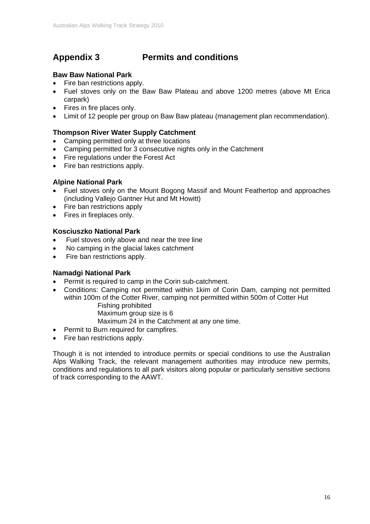#### **Appendix 3 Permits and conditions**

#### **Baw Baw National Park**

- Fire ban restrictions apply.
- Fuel stoves only on the Baw Baw Plateau and above 1200 metres (above Mt Erica carpark)
- Fires in fire places only.
- Limit of 12 people per group on Baw Baw plateau (management plan recommendation).

#### **Thompson River Water Supply Catchment**

- Camping permitted only at three locations
- Camping permitted for 3 consecutive nights only in the Catchment
- Fire regulations under the Forest Act
- Fire ban restrictions apply.

#### **Alpine National Park**

- Fuel stoves only on the Mount Bogong Massif and Mount Feathertop and approaches (including Vallejo Gantner Hut and Mt Howitt)
- Fire ban restrictions apply
- Fires in fireplaces only.

#### **Kosciuszko National Park**

- Fuel stoves only above and near the tree line
- No camping in the glacial lakes catchment
- Fire ban restrictions apply.

#### **Namadgi National Park**

- Permit is required to camp in the Corin sub-catchment.
- Conditions: Camping not permitted within 1kim of Corin Dam, camping not permitted within 100m of the Cotter River, camping not permitted within 500m of Cotter Hut Fishing prohibited

Maximum group size is 6

Maximum 24 in the Catchment at any one time.

- Permit to Burn required for campfires.
- Fire ban restrictions apply.

Though it is not intended to introduce permits or special conditions to use the Australian Alps Walking Track, the relevant management authorities may introduce new permits, conditions and regulations to all park visitors along popular or particularly sensitive sections of track corresponding to the AAWT.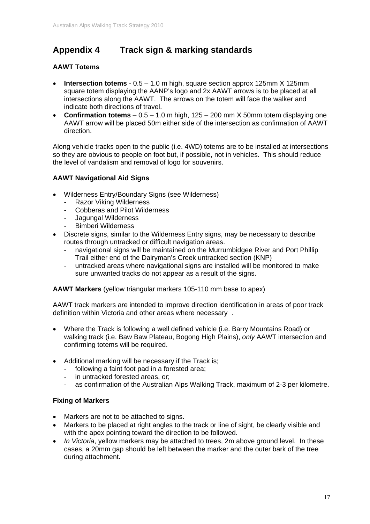#### **Appendix 4 Track sign & marking standards**

#### **AAWT Totems**

- **Intersection totems** 0.5 1.0 m high, square section approx 125mm X 125mm square totem displaying the AANP's logo and 2x AAWT arrows is to be placed at all intersections along the AAWT. The arrows on the totem will face the walker and indicate both directions of travel.
- **Confirmation totems** 0.5 1.0 m high, 125 200 mm X 50mm totem displaying one AAWT arrow will be placed 50m either side of the intersection as confirmation of AAWT direction.

Along vehicle tracks open to the public (i.e. 4WD) totems are to be installed at intersections so they are obvious to people on foot but, if possible, not in vehicles. This should reduce the level of vandalism and removal of logo for souvenirs.

#### **AAWT Navigational Aid Signs**

- Wilderness Entry/Boundary Signs (see Wilderness)
	- Razor Viking Wilderness
	- Cobberas and Pilot Wilderness
	- Jagungal Wilderness
	- Bimberi Wilderness
- Discrete signs, similar to the Wilderness Entry signs, may be necessary to describe routes through untracked or difficult navigation areas.
	- navigational signs will be maintained on the Murrumbidgee River and Port Phillip Trail either end of the Dairyman's Creek untracked section (KNP)
	- untracked areas where navigational signs are installed will be monitored to make sure unwanted tracks do not appear as a result of the signs.

**AAWT Markers** (yellow triangular markers 105-110 mm base to apex)

AAWT track markers are intended to improve direction identification in areas of poor track definition within Victoria and other areas where necessary .

- Where the Track is following a well defined vehicle (i.e. Barry Mountains Road) or walking track (i.e. Baw Baw Plateau, Bogong High Plains), *only* AAWT intersection and confirming totems will be required.
- Additional marking will be necessary if the Track is;
	- following a faint foot pad in a forested area;
	- in untracked forested areas, or;
	- as confirmation of the Australian Alps Walking Track, maximum of 2-3 per kilometre.

#### **Fixing of Markers**

- Markers are not to be attached to signs.
- Markers to be placed at right angles to the track or line of sight, be clearly visible and with the apex pointing toward the direction to be followed.
- *In Victoria*, yellow markers may be attached to trees, 2m above ground level. In these cases, a 20mm gap should be left between the marker and the outer bark of the tree during attachment.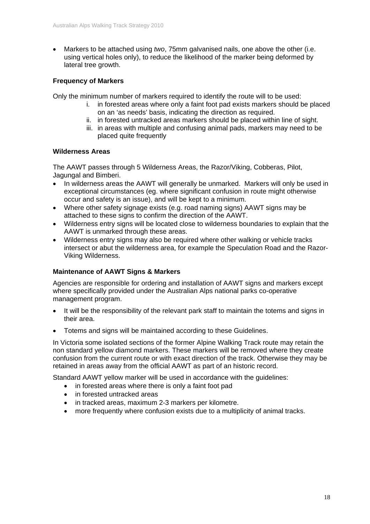Markers to be attached using *two*, 75mm galvanised nails, one above the other (i.e. using vertical holes only), to reduce the likelihood of the marker being deformed by lateral tree growth.

#### **Frequency of Markers**

Only the minimum number of markers required to identify the route will to be used:

- i. in forested areas where only a faint foot pad exists markers should be placed on an 'as needs' basis, indicating the direction as required.
- ii. in forested untracked areas markers should be placed within line of sight.
- iii. in areas with multiple and confusing animal pads, markers may need to be placed quite frequently

#### **Wilderness Areas**

The AAWT passes through 5 Wilderness Areas, the Razor/Viking, Cobberas, Pilot, Jagungal and Bimberi.

- In wilderness areas the AAWT will generally be unmarked. Markers will only be used in exceptional circumstances (eg. where significant confusion in route might otherwise occur and safety is an issue), and will be kept to a minimum.
- Where other safety signage exists (e.g. road naming signs) AAWT signs may be attached to these signs to confirm the direction of the AAWT.
- Wilderness entry signs will be located close to wilderness boundaries to explain that the AAWT is unmarked through these areas.
- Wilderness entry signs may also be required where other walking or vehicle tracks intersect or abut the wilderness area, for example the Speculation Road and the Razor-Viking Wilderness.

#### **Maintenance of AAWT Signs & Markers**

Agencies are responsible for ordering and installation of AAWT signs and markers except where specifically provided under the Australian Alps national parks co-operative management program.

- It will be the responsibility of the relevant park staff to maintain the totems and signs in their area.
- Totems and signs will be maintained according to these Guidelines.

In Victoria some isolated sections of the former Alpine Walking Track route may retain the non standard yellow diamond markers. These markers will be removed where they create confusion from the current route or with exact direction of the track. Otherwise they may be retained in areas away from the official AAWT as part of an historic record.

Standard AAWT yellow marker will be used in accordance with the guidelines:

- in forested areas where there is only a faint foot pad
- in forested untracked areas
- in tracked areas, maximum 2-3 markers per kilometre.
- more frequently where confusion exists due to a multiplicity of animal tracks.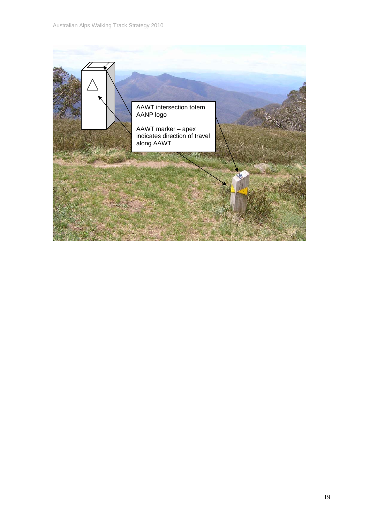